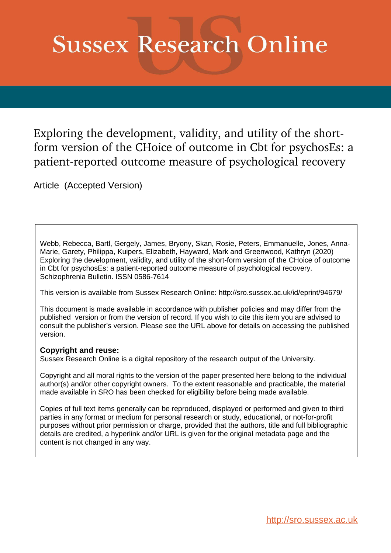# **Sussex Research Online**

Exploring the development, validity, and utility of the shortform version of the CHoice of outcome in Cbt for psychosEs: a patient-reported outcome measure of psychological recovery

Article (Accepted Version)

Webb, Rebecca, Bartl, Gergely, James, Bryony, Skan, Rosie, Peters, Emmanuelle, Jones, Anna-Marie, Garety, Philippa, Kuipers, Elizabeth, Hayward, Mark and Greenwood, Kathryn (2020) Exploring the development, validity, and utility of the short-form version of the CHoice of outcome in Cbt for psychosEs: a patient-reported outcome measure of psychological recovery. Schizophrenia Bulletin. ISSN 0586-7614

This version is available from Sussex Research Online: http://sro.sussex.ac.uk/id/eprint/94679/

This document is made available in accordance with publisher policies and may differ from the published version or from the version of record. If you wish to cite this item you are advised to consult the publisher's version. Please see the URL above for details on accessing the published version.

### **Copyright and reuse:**

Sussex Research Online is a digital repository of the research output of the University.

Copyright and all moral rights to the version of the paper presented here belong to the individual author(s) and/or other copyright owners. To the extent reasonable and practicable, the material made available in SRO has been checked for eligibility before being made available.

Copies of full text items generally can be reproduced, displayed or performed and given to third parties in any format or medium for personal research or study, educational, or not-for-profit purposes without prior permission or charge, provided that the authors, title and full bibliographic details are credited, a hyperlink and/or URL is given for the original metadata page and the content is not changed in any way.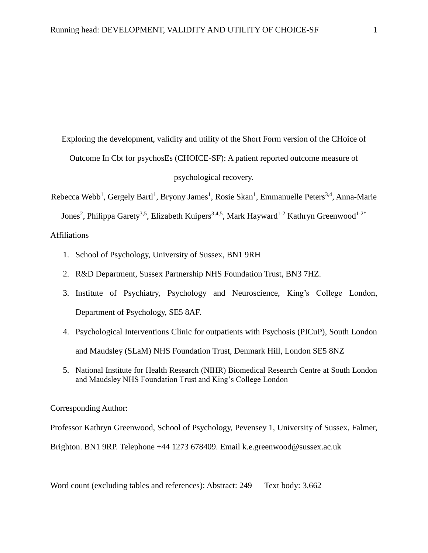Exploring the development, validity and utility of the Short Form version of the CHoice of Outcome In Cbt for psychosEs (CHOICE-SF): A patient reported outcome measure of psychological recovery.

Rebecca Webb<sup>1</sup>, Gergely Bartl<sup>1</sup>, Bryony James<sup>1</sup>, Rosie Skan<sup>1</sup>, Emmanuelle Peters<sup>3,4</sup>, Anna-Marie Jones<sup>2</sup>, Philippa Garety<sup>3,5</sup>, Elizabeth Kuipers<sup>3,4,5</sup>, Mark Hayward<sup>1-2</sup> Kathryn Greenwood<sup>1-2\*</sup> Affiliations

- 1. School of Psychology, University of Sussex, BN1 9RH
- 2. R&D Department, Sussex Partnership NHS Foundation Trust, BN3 7HZ.
- 3. Institute of Psychiatry, Psychology and Neuroscience, King's College London, Department of Psychology, SE5 8AF.
- 4. Psychological Interventions Clinic for outpatients with Psychosis (PICuP), South London and Maudsley (SLaM) NHS Foundation Trust, Denmark Hill, London SE5 8NZ
- 5. National Institute for Health Research (NIHR) Biomedical Research Centre at South London and Maudsley NHS Foundation Trust and King's College London

#### Corresponding Author:

Professor Kathryn Greenwood, School of Psychology, Pevensey 1, University of Sussex, Falmer, Brighton. BN1 9RP. Telephone +44 1273 678409. Email k.e.greenwood@sussex.ac.uk

Word count (excluding tables and references): Abstract: 249 Text body: 3,662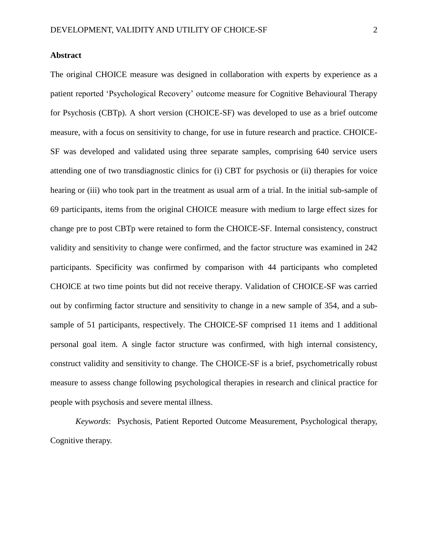#### **Abstract**

The original CHOICE measure was designed in collaboration with experts by experience as a patient reported 'Psychological Recovery' outcome measure for Cognitive Behavioural Therapy for Psychosis (CBTp). A short version (CHOICE-SF) was developed to use as a brief outcome measure, with a focus on sensitivity to change, for use in future research and practice. CHOICE-SF was developed and validated using three separate samples, comprising 640 service users attending one of two transdiagnostic clinics for (i) CBT for psychosis or (ii) therapies for voice hearing or (iii) who took part in the treatment as usual arm of a trial. In the initial sub-sample of 69 participants, items from the original CHOICE measure with medium to large effect sizes for change pre to post CBTp were retained to form the CHOICE-SF. Internal consistency, construct validity and sensitivity to change were confirmed, and the factor structure was examined in 242 participants. Specificity was confirmed by comparison with 44 participants who completed CHOICE at two time points but did not receive therapy. Validation of CHOICE-SF was carried out by confirming factor structure and sensitivity to change in a new sample of 354, and a subsample of 51 participants, respectively. The CHOICE-SF comprised 11 items and 1 additional personal goal item. A single factor structure was confirmed, with high internal consistency, construct validity and sensitivity to change. The CHOICE-SF is a brief, psychometrically robust measure to assess change following psychological therapies in research and clinical practice for people with psychosis and severe mental illness.

*Keywords*: Psychosis, Patient Reported Outcome Measurement, Psychological therapy, Cognitive therapy.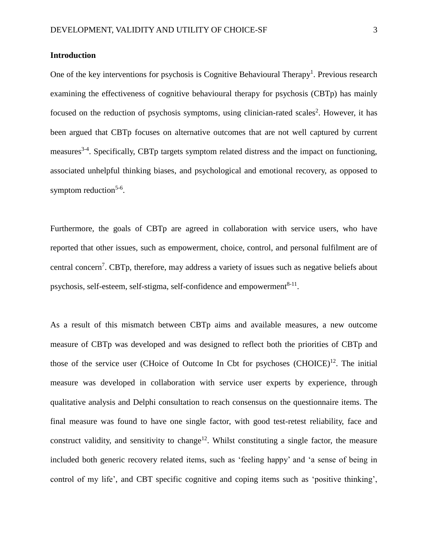#### **Introduction**

One of the key interventions for psychosis is Cognitive Behavioural Therapy<sup>1</sup>. Previous research examining the effectiveness of cognitive behavioural therapy for psychosis (CBTp) has mainly focused on the reduction of psychosis symptoms, using clinician-rated scales<sup>2</sup>. However, it has been argued that CBTp focuses on alternative outcomes that are not well captured by current measures<sup>3-4</sup>. Specifically, CBTp targets symptom related distress and the impact on functioning, associated unhelpful thinking biases, and psychological and emotional recovery, as opposed to symptom reduction<sup>5-6</sup>.

Furthermore, the goals of CBTp are agreed in collaboration with service users, who have reported that other issues, such as empowerment, choice, control, and personal fulfilment are of central concern<sup>7</sup>. CBTp, therefore, may address a variety of issues such as negative beliefs about psychosis, self-esteem, self-stigma, self-confidence and empowerment<sup>8-11</sup>.

As a result of this mismatch between CBTp aims and available measures, a new outcome measure of CBTp was developed and was designed to reflect both the priorities of CBTp and those of the service user (CHoice of Outcome In Cbt for psychoses (CHOICE)<sup>12</sup>. The initial measure was developed in collaboration with service user experts by experience, through qualitative analysis and Delphi consultation to reach consensus on the questionnaire items. The final measure was found to have one single factor, with good test-retest reliability, face and construct validity, and sensitivity to change<sup>12</sup>. Whilst constituting a single factor, the measure included both generic recovery related items, such as 'feeling happy' and 'a sense of being in control of my life', and CBT specific cognitive and coping items such as 'positive thinking',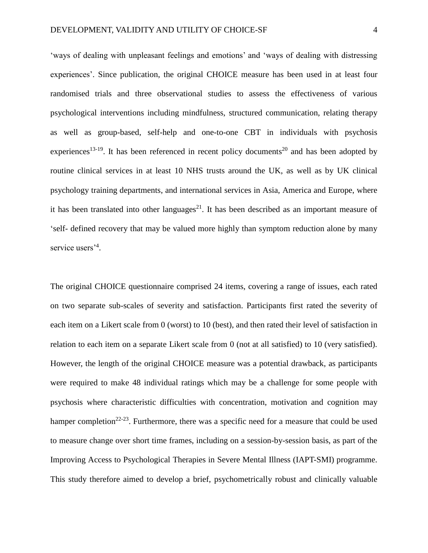'ways of dealing with unpleasant feelings and emotions' and 'ways of dealing with distressing experiences'. Since publication, the original CHOICE measure has been used in at least four randomised trials and three observational studies to assess the effectiveness of various psychological interventions including mindfulness, structured communication, relating therapy as well as group-based, self-help and one-to-one CBT in individuals with psychosis experiences<sup>13-19</sup>. It has been referenced in recent policy documents<sup>20</sup> and has been adopted by routine clinical services in at least 10 NHS trusts around the UK, as well as by UK clinical psychology training departments, and international services in Asia, America and Europe, where it has been translated into other languages $^{21}$ . It has been described as an important measure of 'self- defined recovery that may be valued more highly than symptom reduction alone by many service users<sup>'4</sup>.

The original CHOICE questionnaire comprised 24 items, covering a range of issues, each rated on two separate sub-scales of severity and satisfaction. Participants first rated the severity of each item on a Likert scale from 0 (worst) to 10 (best), and then rated their level of satisfaction in relation to each item on a separate Likert scale from 0 (not at all satisfied) to 10 (very satisfied). However, the length of the original CHOICE measure was a potential drawback, as participants were required to make 48 individual ratings which may be a challenge for some people with psychosis where characteristic difficulties with concentration, motivation and cognition may hamper completion<sup>22-23</sup>. Furthermore, there was a specific need for a measure that could be used to measure change over short time frames, including on a session-by-session basis, as part of the Improving Access to Psychological Therapies in Severe Mental Illness (IAPT-SMI) programme. This study therefore aimed to develop a brief, psychometrically robust and clinically valuable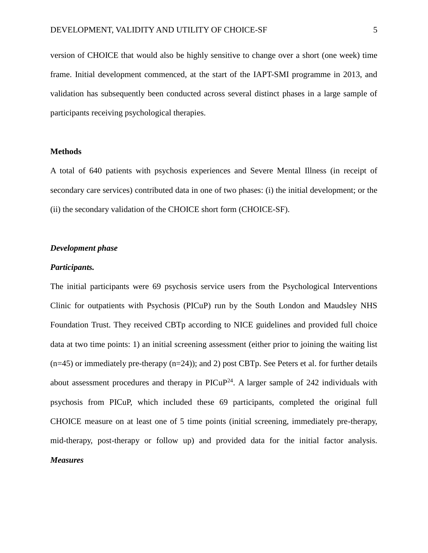version of CHOICE that would also be highly sensitive to change over a short (one week) time frame. Initial development commenced, at the start of the IAPT-SMI programme in 2013, and validation has subsequently been conducted across several distinct phases in a large sample of participants receiving psychological therapies.

#### **Methods**

A total of 640 patients with psychosis experiences and Severe Mental Illness (in receipt of secondary care services) contributed data in one of two phases: (i) the initial development; or the (ii) the secondary validation of the CHOICE short form (CHOICE-SF).

#### *Development phase*

#### *Participants.*

The initial participants were 69 psychosis service users from the Psychological Interventions Clinic for outpatients with Psychosis (PICuP) run by the South London and Maudsley NHS Foundation Trust. They received CBTp according to NICE guidelines and provided full choice data at two time points: 1) an initial screening assessment (either prior to joining the waiting list  $(n=45)$  or immediately pre-therapy  $(n=24)$ ; and 2) post CBTp. See Peters et al. for further details about assessment procedures and therapy in  $\text{PICuP}^{24}$ . A larger sample of 242 individuals with psychosis from PICuP, which included these 69 participants, completed the original full CHOICE measure on at least one of 5 time points (initial screening, immediately pre-therapy, mid-therapy, post-therapy or follow up) and provided data for the initial factor analysis. *Measures*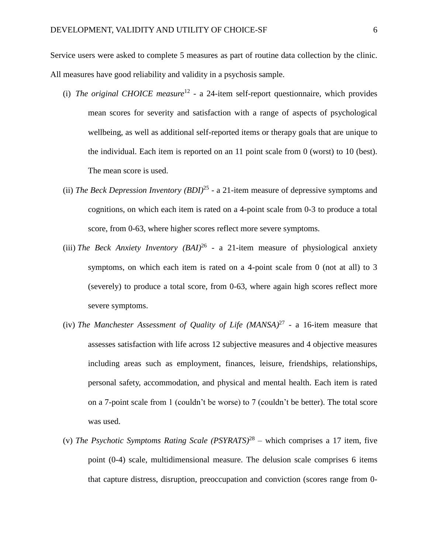Service users were asked to complete 5 measures as part of routine data collection by the clinic. All measures have good reliability and validity in a psychosis sample.

- (i) *The original CHOICE measure*<sup>12</sup> a 24-item self-report questionnaire, which provides mean scores for severity and satisfaction with a range of aspects of psychological wellbeing, as well as additional self-reported items or therapy goals that are unique to the individual. Each item is reported on an 11 point scale from 0 (worst) to 10 (best). The mean score is used.
- (ii) *The Beck Depression Inventory (BDI)*<sup>25</sup> a 21-item measure of depressive symptoms and cognitions, on which each item is rated on a 4-point scale from 0-3 to produce a total score, from 0-63, where higher scores reflect more severe symptoms.
- (iii) *The Beck Anxiety Inventory (BAI)*<sup>26</sup> *-* a 21-item measure of physiological anxiety symptoms, on which each item is rated on a 4-point scale from 0 (not at all) to 3 (severely) to produce a total score, from 0-63, where again high scores reflect more severe symptoms.
- (iv) The Manchester Assessment of Quality of Life  $(MANSA)^{27}$  a 16-item measure that assesses satisfaction with life across 12 subjective measures and 4 objective measures including areas such as employment, finances, leisure, friendships, relationships, personal safety, accommodation, and physical and mental health. Each item is rated on a 7-point scale from 1 (couldn't be worse) to 7 (couldn't be better). The total score was used.
- (v) *The Psychotic Symptoms Rating Scale (PSYRATS)* 28 *–* which comprises a 17 item, five point (0-4) scale, multidimensional measure. The delusion scale comprises 6 items that capture distress, disruption, preoccupation and conviction (scores range from 0-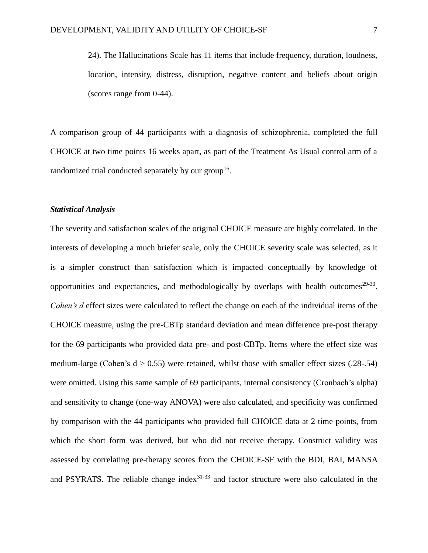24). The Hallucinations Scale has 11 items that include frequency, duration, loudness, location, intensity, distress, disruption, negative content and beliefs about origin (scores range from 0-44).

A comparison group of 44 participants with a diagnosis of schizophrenia, completed the full CHOICE at two time points 16 weeks apart, as part of the Treatment As Usual control arm of a randomized trial conducted separately by our group<sup>16</sup>.

#### *Statistical Analysis*

The severity and satisfaction scales of the original CHOICE measure are highly correlated. In the interests of developing a much briefer scale, only the CHOICE severity scale was selected, as it is a simpler construct than satisfaction which is impacted conceptually by knowledge of opportunities and expectancies, and methodologically by overlaps with health outcomes $29-30$ . *Cohen's d* effect sizes were calculated to reflect the change on each of the individual items of the CHOICE measure, using the pre-CBTp standard deviation and mean difference pre-post therapy for the 69 participants who provided data pre- and post-CBTp. Items where the effect size was medium-large (Cohen's  $d > 0.55$ ) were retained, whilst those with smaller effect sizes (.28-.54) were omitted. Using this same sample of 69 participants, internal consistency (Cronbach's alpha) and sensitivity to change (one-way ANOVA) were also calculated, and specificity was confirmed by comparison with the 44 participants who provided full CHOICE data at 2 time points, from which the short form was derived, but who did not receive therapy. Construct validity was assessed by correlating pre-therapy scores from the CHOICE-SF with the BDI, BAI, MANSA and PSYRATS. The reliable change index $31-33$  and factor structure were also calculated in the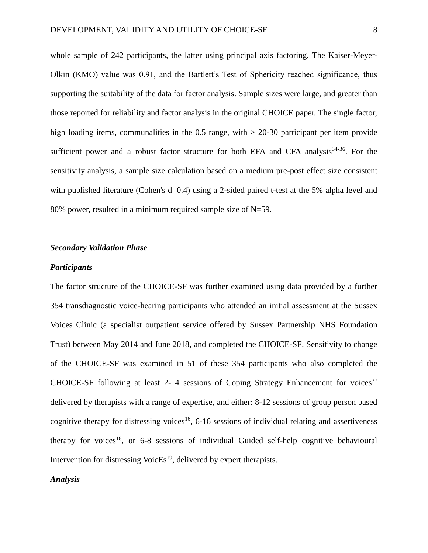whole sample of 242 participants, the latter using principal axis factoring. The Kaiser-Meyer-Olkin (KMO) value was 0.91, and the Bartlett's Test of Sphericity reached significance, thus supporting the suitability of the data for factor analysis. Sample sizes were large, and greater than those reported for reliability and factor analysis in the original CHOICE paper. The single factor, high loading items, communalities in the 0.5 range, with  $> 20-30$  participant per item provide sufficient power and a robust factor structure for both EFA and CFA analysis $34-36$ . For the sensitivity analysis, a sample size calculation based on a medium pre-post effect size consistent with published literature (Cohen's d=0.4) using a 2-sided paired t-test at the 5% alpha level and 80% power, resulted in a minimum required sample size of N=59.

#### *Secondary Validation Phase.*

#### *Participants*

The factor structure of the CHOICE-SF was further examined using data provided by a further 354 transdiagnostic voice-hearing participants who attended an initial assessment at the Sussex Voices Clinic (a specialist outpatient service offered by Sussex Partnership NHS Foundation Trust) between May 2014 and June 2018, and completed the CHOICE-SF. Sensitivity to change of the CHOICE-SF was examined in 51 of these 354 participants who also completed the CHOICE-SF following at least 2-4 sessions of Coping Strategy Enhancement for voices $37$ delivered by therapists with a range of expertise, and either: 8-12 sessions of group person based cognitive therapy for distressing voices<sup>16</sup>, 6-16 sessions of individual relating and assertiveness therapy for voices<sup>18</sup>, or  $6-8$  sessions of individual Guided self-help cognitive behavioural Intervention for distressing VoicEs<sup>19</sup>, delivered by expert therapists.

#### *Analysis*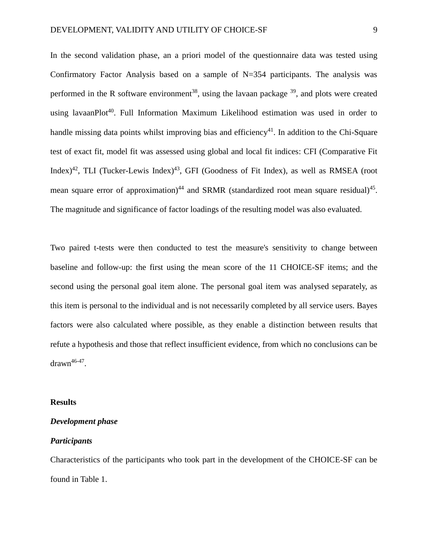In the second validation phase, an a priori model of the questionnaire data was tested using Confirmatory Factor Analysis based on a sample of N=354 participants. The analysis was performed in the R software environment<sup>38</sup>, using the lavaan package  $39$ , and plots were created using lavaanPlot<sup>40</sup>. Full Information Maximum Likelihood estimation was used in order to handle missing data points whilst improving bias and efficiency<sup>41</sup>. In addition to the Chi-Square test of exact fit, model fit was assessed using global and local fit indices: CFI (Comparative Fit Index)<sup>42</sup>, TLI (Tucker-Lewis Index)<sup>43</sup>, GFI (Goodness of Fit Index), as well as RMSEA (root mean square error of approximation)<sup>44</sup> and SRMR (standardized root mean square residual)<sup>45</sup>. The magnitude and significance of factor loadings of the resulting model was also evaluated.

Two paired t-tests were then conducted to test the measure's sensitivity to change between baseline and follow-up: the first using the mean score of the 11 CHOICE-SF items; and the second using the personal goal item alone. The personal goal item was analysed separately, as this item is personal to the individual and is not necessarily completed by all service users. Bayes factors were also calculated where possible, as they enable a distinction between results that refute a hypothesis and those that reflect insufficient evidence, from which no conclusions can be  $d$ rawn<sup>46-47</sup>.

#### **Results**

#### *Development phase*

#### *Participants*

Characteristics of the participants who took part in the development of the CHOICE-SF can be found in Table 1.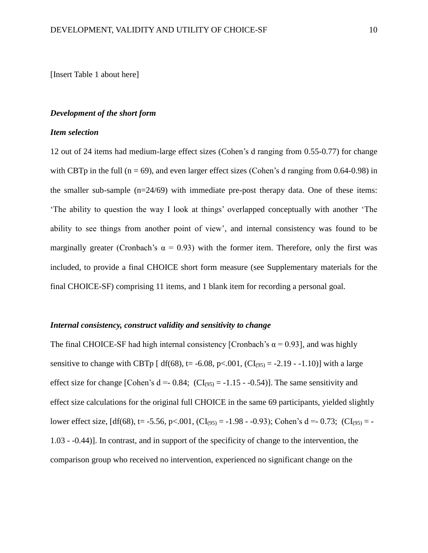[Insert Table 1 about here]

#### *Development of the short form*

#### *Item selection*

12 out of 24 items had medium-large effect sizes (Cohen's d ranging from 0.55-0.77) for change with CBTp in the full ( $n = 69$ ), and even larger effect sizes (Cohen's d ranging from 0.64-0.98) in the smaller sub-sample (n=24/69) with immediate pre-post therapy data. One of these items: 'The ability to question the way I look at things' overlapped conceptually with another 'The ability to see things from another point of view', and internal consistency was found to be marginally greater (Cronbach's  $\alpha = 0.93$ ) with the former item. Therefore, only the first was included, to provide a final CHOICE short form measure (see Supplementary materials for the final CHOICE-SF) comprising 11 items, and 1 blank item for recording a personal goal.

#### *Internal consistency, construct validity and sensitivity to change*

The final CHOICE-SF had high internal consistency [Cronbach's  $\alpha$  = 0.93], and was highly sensitive to change with CBTp  $\lceil d(f(68), t= -6.08, p<.001, (CI_{(95)} = -2.19 - 1.10) \rceil$  with a large effect size for change [Cohen's  $d = -0.84$ ; (CI<sub>(95)</sub> =  $-1.15 - -0.54$ ]. The same sensitivity and effect size calculations for the original full CHOICE in the same 69 participants, yielded slightly lower effect size,  $\left[ df(68) \right]$ , t= -5.56, p<.001,  $\left( CI_{(95)} = -1.98 - 0.93 \right)$ ; Cohen's d =- 0.73;  $\left( CI_{(95)} = -1.98 - 0.93 \right)$ 1.03 - -0.44)]. In contrast, and in support of the specificity of change to the intervention, the comparison group who received no intervention, experienced no significant change on the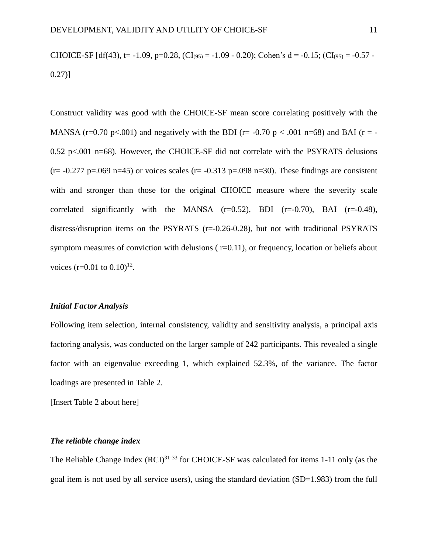# CHOICE-SF  $[df(43), t=-1.09, p=0.28, (CI_{(95)}=-1.09 - 0.20);$  Cohen's  $d = -0.15$ ;  $(Cl_{(95)}=-0.57 -$ 0.27)]

Construct validity was good with the CHOICE-SF mean score correlating positively with the MANSA (r=0.70 p<.001) and negatively with the BDI (r= -0.70 p < .001 n=68) and BAI (r = -0.52 p $\lt$ .001 n=68). However, the CHOICE-SF did not correlate with the PSYRATS delusions  $(r= -0.277 \text{ p} = .069 \text{ n} = 45)$  or voices scales  $(r= -0.313 \text{ p} = .098 \text{ n} = 30)$ . These findings are consistent with and stronger than those for the original CHOICE measure where the severity scale correlated significantly with the MANSA  $(r=0.52)$ , BDI  $(r=-0.70)$ , BAI  $(r=-0.48)$ , distress/disruption items on the PSYRATS (r=-0.26-0.28), but not with traditional PSYRATS symptom measures of conviction with delusions ( $r=0.11$ ), or frequency, location or beliefs about voices  $(r=0.01 \text{ to } 0.10)^{12}$ .

#### *Initial Factor Analysis*

Following item selection, internal consistency, validity and sensitivity analysis, a principal axis factoring analysis, was conducted on the larger sample of 242 participants. This revealed a single factor with an eigenvalue exceeding 1, which explained 52.3%, of the variance. The factor loadings are presented in Table 2.

[Insert Table 2 about here]

#### *The reliable change index*

The Reliable Change Index  $(RCI)^{31-33}$  for CHOICE-SF was calculated for items 1-11 only (as the goal item is not used by all service users), using the standard deviation (SD=1.983) from the full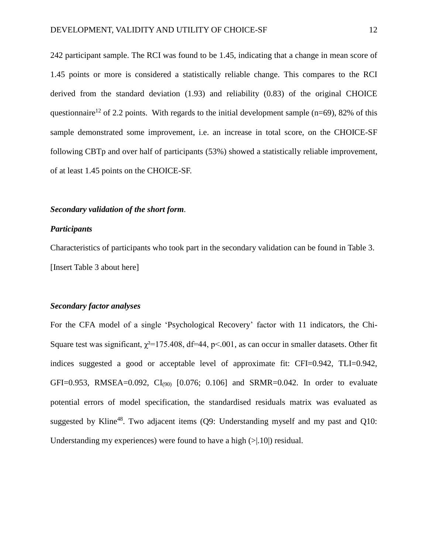242 participant sample. The RCI was found to be 1.45, indicating that a change in mean score of 1.45 points or more is considered a statistically reliable change. This compares to the RCI derived from the standard deviation (1.93) and reliability (0.83) of the original CHOICE questionnaire<sup>12</sup> of 2.2 points. With regards to the initial development sample (n=69), 82% of this sample demonstrated some improvement, i.e. an increase in total score, on the CHOICE-SF following CBTp and over half of participants (53%) showed a statistically reliable improvement, of at least 1.45 points on the CHOICE-SF.

#### *Secondary validation of the short form.*

#### *Participants*

Characteristics of participants who took part in the secondary validation can be found in Table 3. [Insert Table 3 about here]

#### *Secondary factor analyses*

For the CFA model of a single 'Psychological Recovery' factor with 11 indicators, the Chi-Square test was significant,  $\chi^2$ =175.408, df=44, p<.001, as can occur in smaller datasets. Other fit indices suggested a good or acceptable level of approximate fit: CFI=0.942, TLI=0.942, GFI=0.953, RMSEA=0.092,  $CI<sub>(90)</sub>$  [0.076; 0.106] and SRMR=0.042. In order to evaluate potential errors of model specification, the standardised residuals matrix was evaluated as suggested by Kline<sup>48</sup>. Two adjacent items  $(Q9)$ : Understanding myself and my past and  $Q10$ : Understanding my experiences) were found to have a high  $(>1.10)$  residual.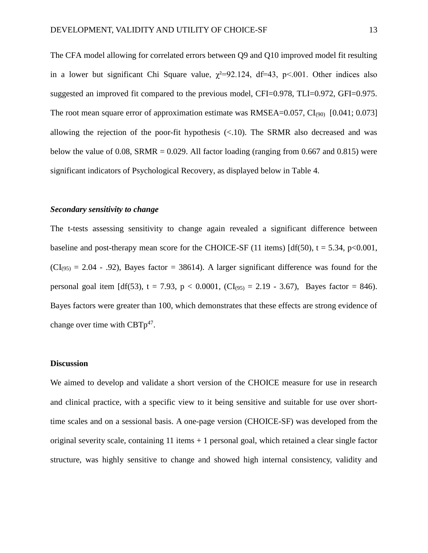The CFA model allowing for correlated errors between Q9 and Q10 improved model fit resulting in a lower but significant Chi Square value,  $\chi^2=92.124$ , df=43, p<.001. Other indices also suggested an improved fit compared to the previous model, CFI=0.978, TLI=0.972, GFI=0.975. The root mean square error of approximation estimate was RMSEA= $0.057$ , CI<sub>(90)</sub> [0.041; 0.073] allowing the rejection of the poor-fit hypothesis  $(< 10$ ). The SRMR also decreased and was below the value of 0.08, SRMR = 0.029. All factor loading (ranging from 0.667 and 0.815) were significant indicators of Psychological Recovery, as displayed below in Table 4.

#### *Secondary sensitivity to change*

The t-tests assessing sensitivity to change again revealed a significant difference between baseline and post-therapy mean score for the CHOICE-SF (11 items)  $\left[ df(50)$ , t = 5.34, p<0.001,  $(CI_{(95)} = 2.04 - .92)$ , Bayes factor = 38614). A larger significant difference was found for the personal goal item  $[df(53), t = 7.93, p < 0.0001, (CI<sub>(95)</sub> = 2.19 - 3.67),$  Bayes factor = 846). Bayes factors were greater than 100, which demonstrates that these effects are strong evidence of change over time with  $CBTp^{47}$ .

#### **Discussion**

We aimed to develop and validate a short version of the CHOICE measure for use in research and clinical practice, with a specific view to it being sensitive and suitable for use over shorttime scales and on a sessional basis. A one-page version (CHOICE-SF) was developed from the original severity scale, containing  $11$  items  $+1$  personal goal, which retained a clear single factor structure, was highly sensitive to change and showed high internal consistency, validity and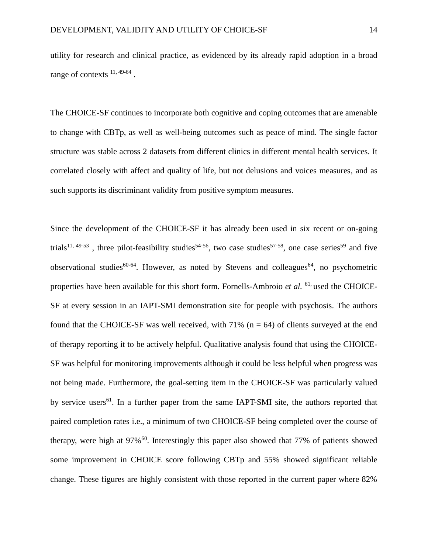utility for research and clinical practice, as evidenced by its already rapid adoption in a broad range of contexts  $^{11, 49-64}$ .

The CHOICE-SF continues to incorporate both cognitive and coping outcomes that are amenable to change with CBTp, as well as well-being outcomes such as peace of mind. The single factor structure was stable across 2 datasets from different clinics in different mental health services. It correlated closely with affect and quality of life, but not delusions and voices measures, and as such supports its discriminant validity from positive symptom measures.

Since the development of the CHOICE-SF it has already been used in six recent or on-going trials<sup>11, 49-53</sup>, three pilot-feasibility studies<sup>54-56</sup>, two case studies<sup>57-58</sup>, one case series<sup>59</sup> and five observational studies<sup>60-64</sup>. However, as noted by Stevens and colleagues<sup>64</sup>, no psychometric properties have been available for this short form. Fornells-Ambroio *et al.* 61, used the CHOICE-SF at every session in an IAPT-SMI demonstration site for people with psychosis. The authors found that the CHOICE-SF was well received, with  $71\%$  (n = 64) of clients surveyed at the end of therapy reporting it to be actively helpful. Qualitative analysis found that using the CHOICE-SF was helpful for monitoring improvements although it could be less helpful when progress was not being made. Furthermore, the goal-setting item in the CHOICE-SF was particularly valued by service users<sup>61</sup>. In a further paper from the same IAPT-SMI site, the authors reported that paired completion rates i.e., a minimum of two CHOICE-SF being completed over the course of therapy, were high at  $97\%$ <sup>60</sup>. Interestingly this paper also showed that 77% of patients showed some improvement in CHOICE score following CBTp and 55% showed significant reliable change. These figures are highly consistent with those reported in the current paper where 82%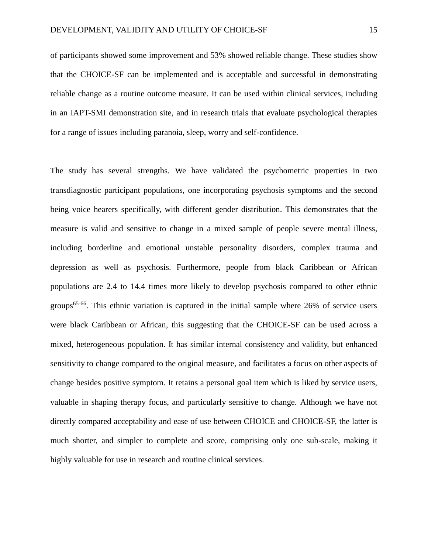of participants showed some improvement and 53% showed reliable change. These studies show that the CHOICE-SF can be implemented and is acceptable and successful in demonstrating reliable change as a routine outcome measure. It can be used within clinical services, including in an IAPT-SMI demonstration site, and in research trials that evaluate psychological therapies for a range of issues including paranoia, sleep, worry and self-confidence.

The study has several strengths. We have validated the psychometric properties in two transdiagnostic participant populations, one incorporating psychosis symptoms and the second being voice hearers specifically, with different gender distribution. This demonstrates that the measure is valid and sensitive to change in a mixed sample of people severe mental illness, including borderline and emotional unstable personality disorders, complex trauma and depression as well as psychosis. Furthermore, people from black Caribbean or African populations are 2.4 to 14.4 times more likely to develop psychosis compared to other ethnic groups<sup>65-66</sup>. This ethnic variation is captured in the initial sample where  $26\%$  of service users were black Caribbean or African, this suggesting that the CHOICE-SF can be used across a mixed, heterogeneous population. It has similar internal consistency and validity, but enhanced sensitivity to change compared to the original measure, and facilitates a focus on other aspects of change besides positive symptom. It retains a personal goal item which is liked by service users, valuable in shaping therapy focus, and particularly sensitive to change. Although we have not directly compared acceptability and ease of use between CHOICE and CHOICE-SF, the latter is much shorter, and simpler to complete and score, comprising only one sub-scale, making it highly valuable for use in research and routine clinical services.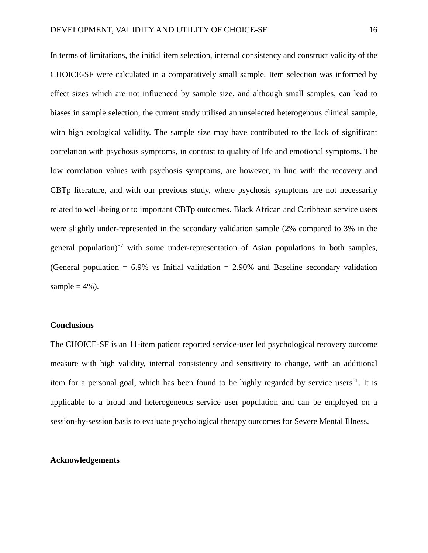In terms of limitations, the initial item selection, internal consistency and construct validity of the CHOICE-SF were calculated in a comparatively small sample. Item selection was informed by effect sizes which are not influenced by sample size, and although small samples, can lead to biases in sample selection, the current study utilised an unselected heterogenous clinical sample, with high ecological validity. The sample size may have contributed to the lack of significant correlation with psychosis symptoms, in contrast to quality of life and emotional symptoms. The low correlation values with psychosis symptoms, are however, in line with the recovery and CBTp literature, and with our previous study, where psychosis symptoms are not necessarily related to well-being or to important CBTp outcomes. Black African and Caribbean service users were slightly under-represented in the secondary validation sample (2% compared to 3% in the general population)<sup>67</sup> with some under-representation of Asian populations in both samples, (General population  $= 6.9\%$  vs Initial validation  $= 2.90\%$  and Baseline secondary validation sample  $= 4\%$ ).

#### **Conclusions**

The CHOICE-SF is an 11-item patient reported service-user led psychological recovery outcome measure with high validity, internal consistency and sensitivity to change, with an additional item for a personal goal, which has been found to be highly regarded by service users<sup>61</sup>. It is applicable to a broad and heterogeneous service user population and can be employed on a session-by-session basis to evaluate psychological therapy outcomes for Severe Mental Illness.

#### **Acknowledgements**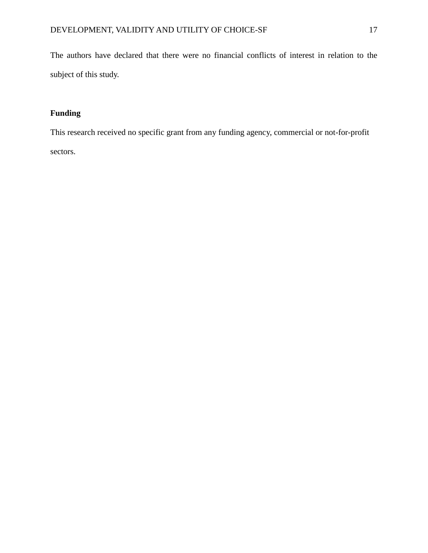The authors have declared that there were no financial conflicts of interest in relation to the subject of this study.

# **Funding**

This research received no specific grant from any funding agency, commercial or not-for-profit sectors.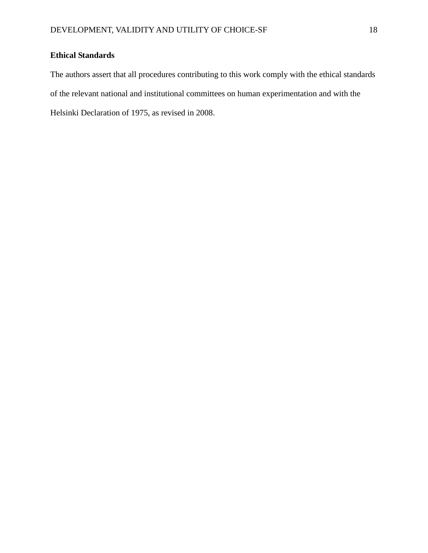# **Ethical Standards**

The authors assert that all procedures contributing to this work comply with the ethical standards of the relevant national and institutional committees on human experimentation and with the Helsinki Declaration of 1975, as revised in 2008.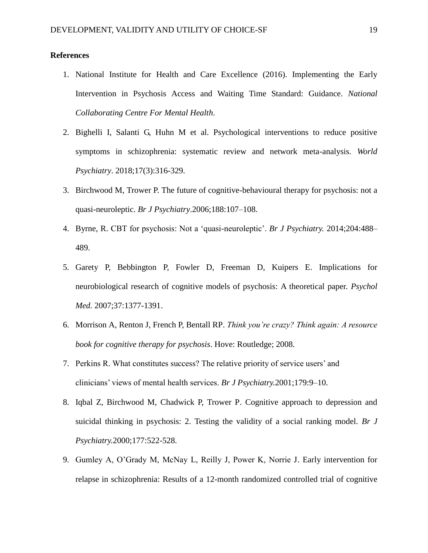#### **References**

- 1. National Institute for Health and Care Excellence (2016). Implementing the Early Intervention in Psychosis Access and Waiting Time Standard: Guidance. *National Collaborating Centre For Mental Health*.
- 2. Bighelli I, Salanti G, Huhn M et al. Psychological interventions to reduce positive symptoms in schizophrenia: systematic review and network meta-analysis. *World Psychiatry*. 2018;17(3):316-329.
- 3. Birchwood M, Trower P. The future of cognitive-behavioural therapy for psychosis: not a quasi-neuroleptic. *Br J Psychiatry*.2006;188:107–108.
- 4. Byrne, R. CBT for psychosis: Not a 'quasi-neuroleptic'. *Br J Psychiatry.* 2014;204:488– 489.
- 5. Garety P, Bebbington P, Fowler D, Freeman D, Kuipers E. Implications for neurobiological research of cognitive models of psychosis: A theoretical paper. *Psychol Med.* 2007;37:1377-1391.
- 6. Morrison A, Renton J, French P, Bentall RP. *Think you're crazy? Think again: A resource book for cognitive therapy for psychosis*. Hove: Routledge; 2008.
- 7. Perkins R. What constitutes success? The relative priority of service users' and clinicians' views of mental health services. *Br J Psychiatry.*2001;179:9–10.
- 8. Iqbal Z, Birchwood M, Chadwick P, Trower P. Cognitive approach to depression and suicidal thinking in psychosis: 2. Testing the validity of a social ranking model. *Br J Psychiatry.*2000;177:522-528.
- 9. Gumley A, O'Grady M, McNay L, Reilly J, Power K, Norrie J. Early intervention for relapse in schizophrenia: Results of a 12-month randomized controlled trial of cognitive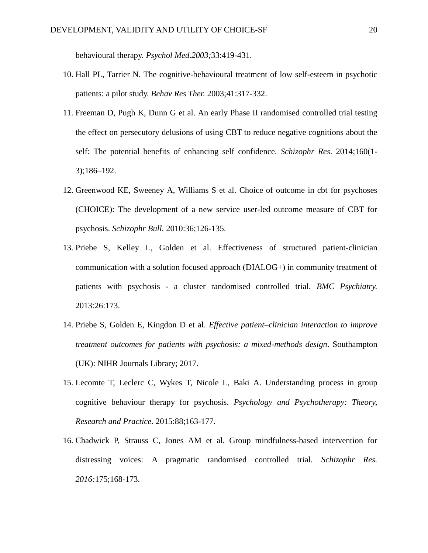behavioural therapy. *Psychol Med.2003;*33:419-431.

- 10. Hall PL, Tarrier N. The cognitive-behavioural treatment of low self-esteem in psychotic patients: a pilot study. *Behav Res Ther.* 2003;41:317-332.
- 11. Freeman D, Pugh K, Dunn G et al. An early Phase II randomised controlled trial testing the effect on persecutory delusions of using CBT to reduce negative cognitions about the self: The potential benefits of enhancing self confidence. *Schizophr Res*. 2014;160(1- 3);186–192.
- 12. Greenwood KE, Sweeney A, Williams S et al. Choice of outcome in cbt for psychoses (CHOICE): The development of a new service user-led outcome measure of CBT for psychosis. *Schizophr Bull.* 2010:36;126-135.
- 13. Priebe S, Kelley L, Golden et al. Effectiveness of structured patient-clinician communication with a solution focused approach (DIALOG+) in community treatment of patients with psychosis - a cluster randomised controlled trial. *BMC Psychiatry.* 2013:26:173.
- 14. Priebe S, Golden E, Kingdon D et al. *Effective patient–clinician interaction to improve treatment outcomes for patients with psychosis: a mixed-methods design*. Southampton (UK): NIHR Journals Library; 2017.
- 15. Lecomte T, Leclerc C, Wykes T, Nicole L, Baki A. Understanding process in group cognitive behaviour therapy for psychosis. *Psychology and Psychotherapy: Theory, Research and Practice*. 2015:88;163-177.
- 16. Chadwick P, Strauss C, Jones AM et al. Group mindfulness-based intervention for distressing voices: A pragmatic randomised controlled trial. *Schizophr Res. 2016:*175;168-173.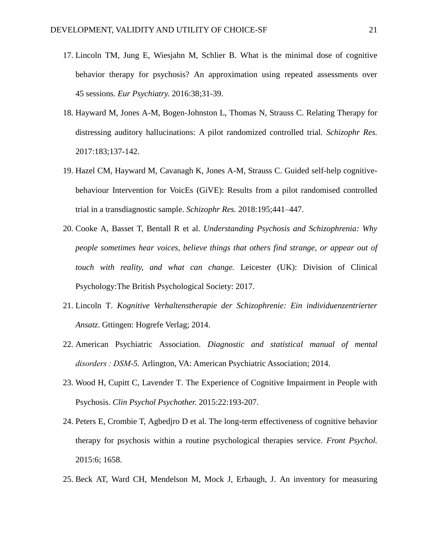- 17. Lincoln TM, Jung E, Wiesjahn M, Schlier B. What is the minimal dose of cognitive behavior therapy for psychosis? An approximation using repeated assessments over 45 sessions. *Eur Psychiatry.* 2016:38;31-39.
- 18. Hayward M, Jones A-M, Bogen-Johnston L, Thomas N, Strauss C. Relating Therapy for distressing auditory hallucinations: A pilot randomized controlled trial. *Schizophr Res.*  2017:183;137-142.
- 19. Hazel CM, Hayward M, Cavanagh K, Jones A-M, Strauss C. Guided self-help cognitivebehaviour Intervention for VoicEs (GiVE): Results from a pilot randomised controlled trial in a transdiagnostic sample. *Schizophr Res.* 2018:195;441–447.
- 20. Cooke A, Basset T, Bentall R et al. *Understanding Psychosis and Schizophrenia: Why people sometimes hear voices, believe things that others find strange, or appear out of touch with reality, and what can change.* Leicester (UK): Division of Clinical Psychology:The British Psychological Society: 2017.
- 21. Lincoln T. *Kognitive Verhaltenstherapie der Schizophrenie: Ein individuenzentrierter Ansatz*. Gttingen: Hogrefe Verlag; 2014.
- 22. American Psychiatric Association. *Diagnostic and statistical manual of mental disorders : DSM-5.* Arlington, VA: American Psychiatric Association; 2014.
- 23. Wood H, Cupitt C, Lavender T. The Experience of Cognitive Impairment in People with Psychosis. *Clin Psychol Psychother.* 2015:22:193-207.
- 24. Peters E, Crombie T, Agbedjro D et al. The long-term effectiveness of cognitive behavior therapy for psychosis within a routine psychological therapies service. *Front Psychol.*  2015:6; 1658.
- 25. Beck AT, Ward CH, Mendelson M, Mock J, Erbaugh, J. An inventory for measuring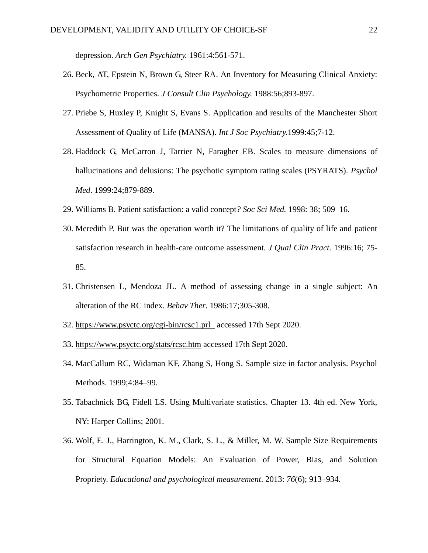depression. *Arch Gen Psychiatry.* 1961:4:561-571.

- 26. Beck, AT, Epstein N, Brown G, Steer RA. An Inventory for Measuring Clinical Anxiety: Psychometric Properties. *J Consult Clin Psychology.* 1988:56;893-897.
- 27. Priebe S, Huxley P, Knight S, Evans S. Application and results of the Manchester Short Assessment of Quality of Life (MANSA). *Int J Soc Psychiatry.*1999:45;7-12.
- 28. Haddock G, McCarron J, Tarrier N, Faragher EB. Scales to measure dimensions of hallucinations and delusions: The psychotic symptom rating scales (PSYRATS). *Psychol Med*. 1999:24;879-889.
- 29. Williams B. Patient satisfaction: a valid concept*? Soc Sci Med.* 1998: 38; 509–16.
- 30. Meredith P. But was the operation worth it? The limitations of quality of life and patient satisfaction research in health-care outcome assessment*. J Qual Clin Pract.* 1996:16; 75- 85.
- 31. Christensen L, Mendoza JL. A method of assessing change in a single subject: An alteration of the RC index. *Behav Ther*. 1986:17;305-308.
- 32. <https://www.psyctc.org/cgi-bin/rcsc1.prl>accessed 17th Sept 2020.
- 33. <https://www.psyctc.org/stats/rcsc.htm> accessed 17th Sept 2020.
- 34. MacCallum RC, Widaman KF, Zhang S, Hong S. Sample size in factor analysis. Psychol Methods. 1999;4:84–99.
- 35. Tabachnick BG, Fidell LS. Using Multivariate statistics. Chapter 13. 4th ed. New York, NY: Harper Collins; 2001.
- 36. Wolf, E. J., Harrington, K. M., Clark, S. L., & Miller, M. W. Sample Size Requirements for Structural Equation Models: An Evaluation of Power, Bias, and Solution Propriety. *Educational and psychological measurement*. 2013: *76*(6); 913–934.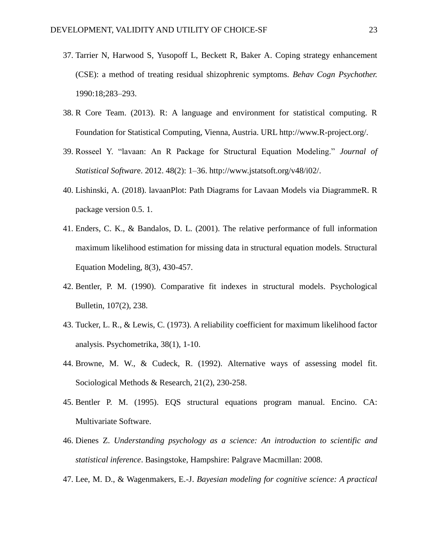- 37. Tarrier N, Harwood S, Yusopoff L, Beckett R, Baker A. Coping strategy enhancement (CSE): a method of treating residual shizophrenic symptoms. *Behav Cogn Psychother.*  1990:18;283–293.
- 38. R Core Team. (2013). R: A language and environment for statistical computing. R Foundation for Statistical Computing, Vienna, Austria. URL http://www.R-project.org/.
- 39. Rosseel Y. "lavaan: An R Package for Structural Equation Modeling." *Journal of Statistical Softwar*e. 2012. 48(2): 1–36. http://www.jstatsoft.org/v48/i02/.
- 40. Lishinski, A. (2018). lavaanPlot: Path Diagrams for Lavaan Models via DiagrammeR. R package version 0.5. 1.
- 41. Enders, C. K., & Bandalos, D. L. (2001). The relative performance of full information maximum likelihood estimation for missing data in structural equation models. Structural Equation Modeling, 8(3), 430-457.
- 42. Bentler, P. M. (1990). Comparative fit indexes in structural models. Psychological Bulletin, 107(2), 238.
- 43. Tucker, L. R., & Lewis, C. (1973). A reliability coefficient for maximum likelihood factor analysis. Psychometrika, 38(1), 1-10.
- 44. Browne, M. W., & Cudeck, R. (1992). Alternative ways of assessing model fit. Sociological Methods & Research, 21(2), 230-258.
- 45. Bentler P. M. (1995). EQS structural equations program manual. Encino. CA: Multivariate Software.
- 46. Dienes Z. *Understanding psychology as a science: An introduction to scientific and statistical inference*. Basingstoke, Hampshire: Palgrave Macmillan: 2008.
- 47. Lee, M. D., & Wagenmakers, E.-J. *Bayesian modeling for cognitive science: A practical*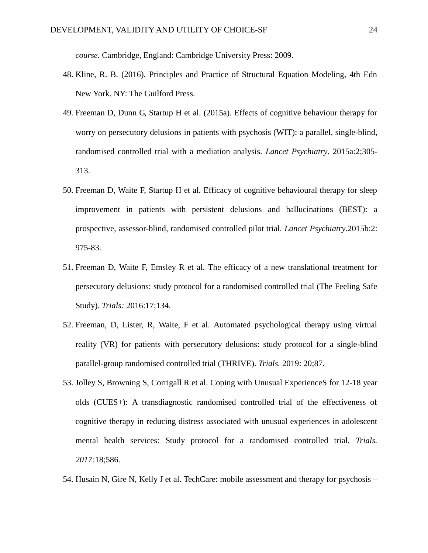*course.* Cambridge, England: Cambridge University Press: 2009.

- 48. Kline, R. B. (2016). Principles and Practice of Structural Equation Modeling, 4th Edn New York. NY: The Guilford Press.
- 49. Freeman D, Dunn G, Startup H et al. (2015a). Effects of cognitive behaviour therapy for worry on persecutory delusions in patients with psychosis (WIT): a parallel, single-blind, randomised controlled trial with a mediation analysis. *Lancet Psychiatry*. 2015a:2;305- 313.
- 50. Freeman D, Waite F, Startup H et al. Efficacy of cognitive behavioural therapy for sleep improvement in patients with persistent delusions and hallucinations (BEST): a prospective, assessor-blind, randomised controlled pilot trial. *Lancet Psychiatry*.2015b:2: 975-83.
- 51. Freeman D, Waite F, Emsley R et al. The efficacy of a new translational treatment for persecutory delusions: study protocol for a randomised controlled trial (The Feeling Safe Study). *Trials:* 2016:17;134.
- 52. Freeman, D, Lister, R, Waite, F et al. Automated psychological therapy using virtual reality (VR) for patients with persecutory delusions: study protocol for a single-blind parallel-group randomised controlled trial (THRIVE). *Trials.* 2019: 20;87.
- 53. Jolley S, Browning S, Corrigall R et al. Coping with Unusual ExperienceS for 12-18 year olds (CUES+): A transdiagnostic randomised controlled trial of the effectiveness of cognitive therapy in reducing distress associated with unusual experiences in adolescent mental health services: Study protocol for a randomised controlled trial. *Trials. 2017:*18;586.
- 54. Husain N, Gire N, Kelly J et al. TechCare: mobile assessment and therapy for psychosis –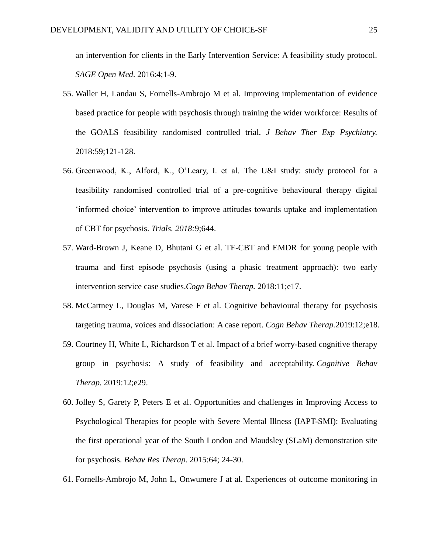an intervention for clients in the Early Intervention Service: A feasibility study protocol. *SAGE Open Med*. 2016:4;1-9.

- 55. Waller H, Landau S, Fornells-Ambrojo M et al. Improving implementation of evidence based practice for people with psychosis through training the wider workforce: Results of the GOALS feasibility randomised controlled trial. *J Behav Ther Exp Psychiatry.*  2018:59;121-128.
- 56. Greenwood, K., Alford, K., O'Leary, I. et al. The U&I study: study protocol for a feasibility randomised controlled trial of a pre-cognitive behavioural therapy digital 'informed choice' intervention to improve attitudes towards uptake and implementation of CBT for psychosis. *Trials. 2018:*9;644.
- 57. Ward-Brown J, Keane D, Bhutani G et al. TF-CBT and EMDR for young people with trauma and first episode psychosis (using a phasic treatment approach): two early intervention service case studies.*Cogn Behav Therap.* 2018:11;e17.
- 58. McCartney L, Douglas M, Varese F et al. Cognitive behavioural therapy for psychosis targeting trauma, voices and dissociation: A case report. *Cogn Behav Therap.*2019:12;e18.
- 59. Courtney H, White L, Richardson T et al. Impact of a brief worry-based cognitive therapy group in psychosis: A study of feasibility and acceptability. *Cognitive Behav Therap.* 2019:12;e29.
- 60. Jolley S, Garety P, Peters E et al. Opportunities and challenges in Improving Access to Psychological Therapies for people with Severe Mental Illness (IAPT-SMI): Evaluating the first operational year of the South London and Maudsley (SLaM) demonstration site for psychosis. *Behav Res Therap.* 2015:64; 24-30.
- 61. Fornells-Ambrojo M, John L, Onwumere J at al. Experiences of outcome monitoring in